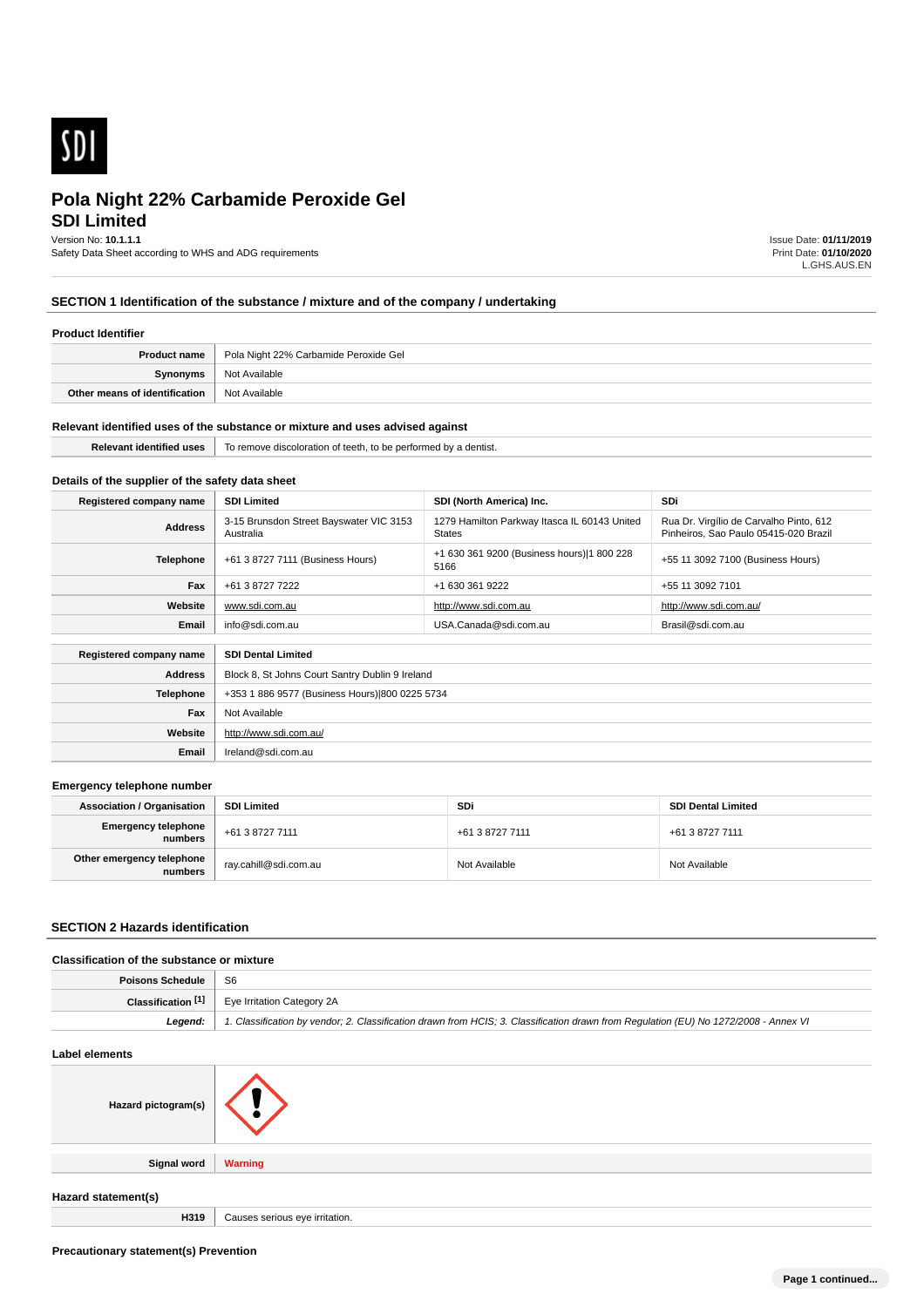

# **SDI Limited Pola Night 22% Carbamide Peroxide Gel**

Version No: **10.1.1.1**

Safety Data Sheet according to WHS and ADG requirements

Issue Date: **01/11/2019** Print Date: **01/10/2020** L.GHS.AUS.EN

# **SECTION 1 Identification of the substance / mixture and of the company / undertaking**

#### **Product Identifier**

| <b>Product name</b>           | Pola Night 22% Carbamide Peroxide Gel |
|-------------------------------|---------------------------------------|
| Synonyms                      | Not Available                         |
| Other means of identification | Not Available                         |

#### **Relevant identified uses of the substance or mixture and uses advised against**

| 11.1<br>teetn.<br><del>מי ז</del> ים מסו <b>ו</b> מותה<br>≅ntis⊾<br>TO TEL<br>periorme<br>$\cdots$<br>.<br>. |
|--------------------------------------------------------------------------------------------------------------|
|                                                                                                              |

# **Details of the supplier of the safety data sheet**

| Registered company name                              | <b>SDI Limited</b>                                   | SDI (North America) Inc.                                      | <b>SDi</b>                                                                       |
|------------------------------------------------------|------------------------------------------------------|---------------------------------------------------------------|----------------------------------------------------------------------------------|
| <b>Address</b>                                       | 3-15 Brunsdon Street Bayswater VIC 3153<br>Australia | 1279 Hamilton Parkway Itasca IL 60143 United<br><b>States</b> | Rua Dr. Virgílio de Carvalho Pinto, 612<br>Pinheiros, Sao Paulo 05415-020 Brazil |
| Telephone                                            | +61 3 8727 7111 (Business Hours)                     | +1 630 361 9200 (Business hours) 1 800 228<br>5166            | +55 11 3092 7100 (Business Hours)                                                |
| Fax                                                  | +61 3 8727 7222                                      | +1 630 361 9222                                               | +55 11 3092 7101                                                                 |
| Website                                              | www.sdi.com.au                                       | http://www.sdi.com.au                                         | http://www.sdi.com.au/                                                           |
| Email                                                | info@sdi.com.au                                      | USA.Canada@sdi.com.au                                         | Brasil@sdi.com.au                                                                |
| Registered company name<br><b>SDI Dental Limited</b> |                                                      |                                                               |                                                                                  |
|                                                      |                                                      |                                                               |                                                                                  |
| <b>Address</b>                                       | Block 8, St Johns Court Santry Dublin 9 Ireland      |                                                               |                                                                                  |
| <b>Telephone</b>                                     | +353 1 886 9577 (Business Hours) 800 0225 5734       |                                                               |                                                                                  |
| Fax                                                  | Not Available                                        |                                                               |                                                                                  |

# **Emergency telephone number**

**Website**

**Email** Ireland@sdi.com.au

http://www.sdi.com.au/

| <b>Association / Organisation</b>    | <b>SDI Limited</b>    | SDi             | <b>SDI Dental Limited</b> |
|--------------------------------------|-----------------------|-----------------|---------------------------|
| Emergency telephone<br>  numbers     | +61 3 8727 7111       | +61 3 8727 7111 | +61 3 8727 7111           |
| Other emergency telephone<br>numbers | ray.cahill@sdi.com.au | Not Available   | Not Available             |

# **SECTION 2 Hazards identification**

#### **Classification of the substance or mixture**

| Poisons Schedule   | - S6                                                                                                                                 |
|--------------------|--------------------------------------------------------------------------------------------------------------------------------------|
| Classification [1] | Eye Irritation Category 2A                                                                                                           |
| Legend:            | 1. Classification by vendor; 2. Classification drawn from HCIS; 3. Classification drawn from Regulation (EU) No 1272/2008 - Annex VI |

# **Label elements Hazard pictogram(s) Signal word Warning Hazard statement(s) H319** Causes serious eve irritation.

**Precautionary statement(s) Prevention**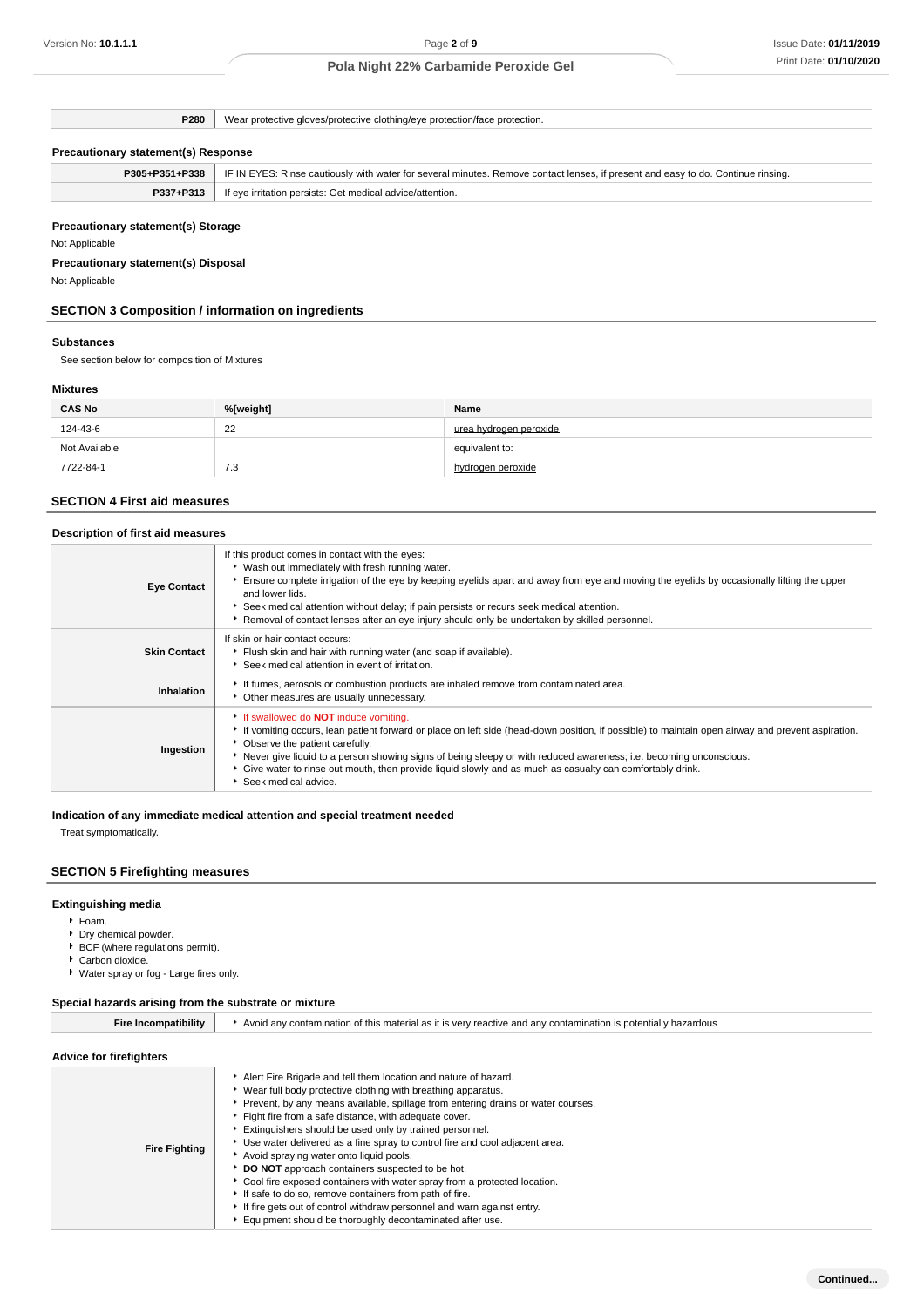**P280** Wear protective gloves/protective clothing/eye protection/face protection.

# **Precautionary statement(s) Response**

| P305+P351+P338 | . IF IN EYES: Rinse cautiously with water for several minutes. Remove contact lenses, if present and easy to do. Continue rinsing. |
|----------------|------------------------------------------------------------------------------------------------------------------------------------|
| P337+P313      | If eye irritation persists: Get medical advice/attention.                                                                          |

# **Precautionary statement(s) Storage**

Not Applicable

# **Precautionary statement(s) Disposal**

Not Applicable

# **SECTION 3 Composition / information on ingredients**

#### **Substances**

See section below for composition of Mixtures

# **Mixtures**

| <b>CAS No</b> | %[weight] | Name                   |
|---------------|-----------|------------------------|
| 124-43-6      | 22        | urea hydrogen peroxide |
| Not Available |           | equivalent to:         |
| 7722-84-1     | 7.3       | hydrogen peroxide      |

# **SECTION 4 First aid measures**

| Description of first aid measures |                                                                                                                                                                                                                                                                                                                                                                                                                                                                                                |  |
|-----------------------------------|------------------------------------------------------------------------------------------------------------------------------------------------------------------------------------------------------------------------------------------------------------------------------------------------------------------------------------------------------------------------------------------------------------------------------------------------------------------------------------------------|--|
| <b>Eye Contact</b>                | If this product comes in contact with the eyes:<br>▶ Wash out immediately with fresh running water.<br>Ensure complete irrigation of the eye by keeping eyelids apart and away from eye and moving the eyelids by occasionally lifting the upper<br>and lower lids.<br>Seek medical attention without delay; if pain persists or recurs seek medical attention.<br>▶ Removal of contact lenses after an eye injury should only be undertaken by skilled personnel.                             |  |
| <b>Skin Contact</b>               | If skin or hair contact occurs:<br>Flush skin and hair with running water (and soap if available).<br>Seek medical attention in event of irritation.                                                                                                                                                                                                                                                                                                                                           |  |
| Inhalation                        | If fumes, aerosols or combustion products are inhaled remove from contaminated area.<br>• Other measures are usually unnecessary.                                                                                                                                                                                                                                                                                                                                                              |  |
| Ingestion                         | If swallowed do <b>NOT</b> induce vomiting.<br>If vomiting occurs, lean patient forward or place on left side (head-down position, if possible) to maintain open airway and prevent aspiration.<br>• Observe the patient carefully.<br>Never give liquid to a person showing signs of being sleepy or with reduced awareness; i.e. becoming unconscious.<br>▶ Give water to rinse out mouth, then provide liquid slowly and as much as casualty can comfortably drink.<br>Seek medical advice. |  |

# **Indication of any immediate medical attention and special treatment needed**

Treat symptomatically.

# **SECTION 5 Firefighting measures**

# **Extinguishing media**

- Foam.
- Dry chemical powder.
- BCF (where regulations permit). ▶ Carbon dioxide.
- Water spray or fog Large fires only.

# **Special hazards arising from the substrate or mixture**

| Fire Incompatibility           | Avoid any contamination of this material as it is very reactive and any contamination is potentially hazardous                                                                                                                                                                                                                                                                                                                                                                                                                                                                                                                                                                                                                                                                                       |
|--------------------------------|------------------------------------------------------------------------------------------------------------------------------------------------------------------------------------------------------------------------------------------------------------------------------------------------------------------------------------------------------------------------------------------------------------------------------------------------------------------------------------------------------------------------------------------------------------------------------------------------------------------------------------------------------------------------------------------------------------------------------------------------------------------------------------------------------|
| <b>Advice for firefighters</b> |                                                                                                                                                                                                                                                                                                                                                                                                                                                                                                                                                                                                                                                                                                                                                                                                      |
| <b>Fire Fighting</b>           | Alert Fire Brigade and tell them location and nature of hazard.<br>▶ Wear full body protective clothing with breathing apparatus.<br>▶ Prevent, by any means available, spillage from entering drains or water courses.<br>Fight fire from a safe distance, with adequate cover.<br>Extinguishers should be used only by trained personnel.<br>Use water delivered as a fine spray to control fire and cool adjacent area.<br>Avoid spraying water onto liquid pools.<br>DO NOT approach containers suspected to be hot.<br>Cool fire exposed containers with water spray from a protected location.<br>If safe to do so, remove containers from path of fire.<br>If fire gets out of control withdraw personnel and warn against entry.<br>Equipment should be thoroughly decontaminated after use. |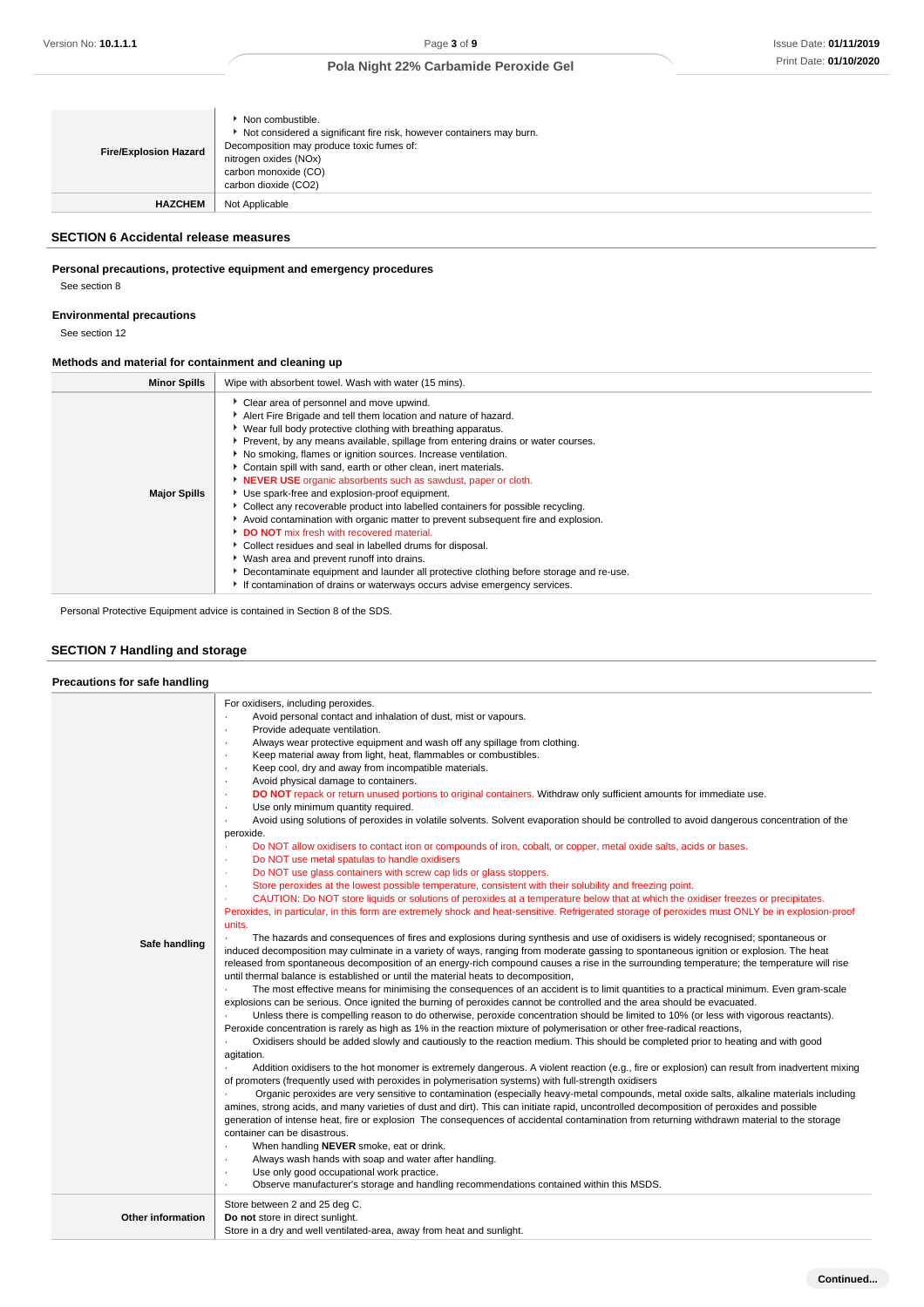| <b>Fire/Explosion Hazard</b> | Non combustible.<br>Not considered a significant fire risk, however containers may burn.<br>Decomposition may produce toxic fumes of:<br>nitrogen oxides (NOx)<br>carbon monoxide (CO)<br>carbon dioxide (CO2) |
|------------------------------|----------------------------------------------------------------------------------------------------------------------------------------------------------------------------------------------------------------|
| <b>HAZCHEM</b>               | Not Applicable                                                                                                                                                                                                 |

# **SECTION 6 Accidental release measures**

# **Personal precautions, protective equipment and emergency procedures**

See section 8

**Environmental precautions**

See section 12

# **Methods and material for containment and cleaning up**

| <b>Minor Spills</b> | Wipe with absorbent towel. Wash with water (15 mins).                                                                                                                                                                                                                                                                                                                                                                                                                                                                                                                                                                                                                                                                                                                                                                                                                                                                                                                                                                                           |
|---------------------|-------------------------------------------------------------------------------------------------------------------------------------------------------------------------------------------------------------------------------------------------------------------------------------------------------------------------------------------------------------------------------------------------------------------------------------------------------------------------------------------------------------------------------------------------------------------------------------------------------------------------------------------------------------------------------------------------------------------------------------------------------------------------------------------------------------------------------------------------------------------------------------------------------------------------------------------------------------------------------------------------------------------------------------------------|
| <b>Major Spills</b> | Clear area of personnel and move upwind.<br>Alert Fire Brigade and tell them location and nature of hazard.<br>▶ Wear full body protective clothing with breathing apparatus.<br>▶ Prevent, by any means available, spillage from entering drains or water courses.<br>▶ No smoking, flames or ignition sources. Increase ventilation.<br>Contain spill with sand, earth or other clean, inert materials.<br><b>NEVER USE</b> organic absorbents such as sawdust, paper or cloth.<br>Use spark-free and explosion-proof equipment.<br>• Collect any recoverable product into labelled containers for possible recycling.<br>Avoid contamination with organic matter to prevent subsequent fire and explosion.<br>DO NOT mix fresh with recovered material.<br>Collect residues and seal in labelled drums for disposal.<br>▶ Wash area and prevent runoff into drains.<br>▶ Decontaminate equipment and launder all protective clothing before storage and re-use.<br>If contamination of drains or waterways occurs advise emergency services. |

Personal Protective Equipment advice is contained in Section 8 of the SDS.

# **SECTION 7 Handling and storage**

# **Precautions for safe handling**

| Safe handling            | For oxidisers, including peroxides.<br>Avoid personal contact and inhalation of dust, mist or vapours.<br>Provide adequate ventilation.<br>$\cdot$<br>Always wear protective equipment and wash off any spillage from clothing.<br>$\cdot$<br>Keep material away from light, heat, flammables or combustibles.<br>$\cdot$<br>Keep cool, dry and away from incompatible materials.<br>$\cdot$<br>Avoid physical damage to containers.<br>$\cdot$<br>DO NOT repack or return unused portions to original containers. Withdraw only sufficient amounts for immediate use.<br>$\cdot$<br>Use only minimum quantity required.<br>$\cdot$<br>Avoid using solutions of peroxides in volatile solvents. Solvent evaporation should be controlled to avoid dangerous concentration of the<br>$\blacksquare$<br>peroxide.<br>Do NOT allow oxidisers to contact iron or compounds of iron, cobalt, or copper, metal oxide salts, acids or bases.<br>Do NOT use metal spatulas to handle oxidisers<br>×<br>Do NOT use glass containers with screw cap lids or glass stoppers.<br>×<br>Store peroxides at the lowest possible temperature, consistent with their solubility and freezing point.<br>×.<br>CAUTION: Do NOT store liquids or solutions of peroxides at a temperature below that at which the oxidiser freezes or precipitates.<br>×.<br>Peroxides, in particular, in this form are extremely shock and heat-sensitive. Refrigerated storage of peroxides must ONLY be in explosion-proof<br>units.<br>The hazards and consequences of fires and explosions during synthesis and use of oxidisers is widely recognised; spontaneous or<br>induced decomposition may culminate in a variety of ways, ranging from moderate gassing to spontaneous ignition or explosion. The heat<br>released from spontaneous decomposition of an energy-rich compound causes a rise in the surrounding temperature; the temperature will rise<br>until thermal balance is established or until the material heats to decomposition,<br>The most effective means for minimising the consequences of an accident is to limit quantities to a practical minimum. Even gram-scale<br>explosions can be serious. Once ignited the burning of peroxides cannot be controlled and the area should be evacuated.<br>Unless there is compelling reason to do otherwise, peroxide concentration should be limited to 10% (or less with vigorous reactants).<br>Peroxide concentration is rarely as high as 1% in the reaction mixture of polymerisation or other free-radical reactions,<br>Oxidisers should be added slowly and cautiously to the reaction medium. This should be completed prior to heating and with good<br>agitation.<br>Addition oxidisers to the hot monomer is extremely dangerous. A violent reaction (e.g., fire or explosion) can result from inadvertent mixing<br>of promoters (frequently used with peroxides in polymerisation systems) with full-strength oxidisers<br>Organic peroxides are very sensitive to contamination (especially heavy-metal compounds, metal oxide salts, alkaline materials including<br>amines, strong acids, and many varieties of dust and dirt). This can initiate rapid, uncontrolled decomposition of peroxides and possible<br>generation of intense heat, fire or explosion The consequences of accidental contamination from returning withdrawn material to the storage<br>container can be disastrous.<br>When handling NEVER smoke, eat or drink.<br>٠<br>Always wash hands with soap and water after handling.<br>٠<br>Use only good occupational work practice.<br>٠<br>Observe manufacturer's storage and handling recommendations contained within this MSDS. |
|--------------------------|--------------------------------------------------------------------------------------------------------------------------------------------------------------------------------------------------------------------------------------------------------------------------------------------------------------------------------------------------------------------------------------------------------------------------------------------------------------------------------------------------------------------------------------------------------------------------------------------------------------------------------------------------------------------------------------------------------------------------------------------------------------------------------------------------------------------------------------------------------------------------------------------------------------------------------------------------------------------------------------------------------------------------------------------------------------------------------------------------------------------------------------------------------------------------------------------------------------------------------------------------------------------------------------------------------------------------------------------------------------------------------------------------------------------------------------------------------------------------------------------------------------------------------------------------------------------------------------------------------------------------------------------------------------------------------------------------------------------------------------------------------------------------------------------------------------------------------------------------------------------------------------------------------------------------------------------------------------------------------------------------------------------------------------------------------------------------------------------------------------------------------------------------------------------------------------------------------------------------------------------------------------------------------------------------------------------------------------------------------------------------------------------------------------------------------------------------------------------------------------------------------------------------------------------------------------------------------------------------------------------------------------------------------------------------------------------------------------------------------------------------------------------------------------------------------------------------------------------------------------------------------------------------------------------------------------------------------------------------------------------------------------------------------------------------------------------------------------------------------------------------------------------------------------------------------------------------------------------------------------------------------------------------------------------------------------------------------------------------------------------------------------------------------------------------------------------------------------------------------------------------------------------------------------------------------------------------------------------------------------------------------------------------------------------------------------------------------------|
| <b>Other information</b> | Store between 2 and 25 deg C.<br>Do not store in direct sunlight.<br>Store in a dry and well ventilated-area, away from heat and sunlight.                                                                                                                                                                                                                                                                                                                                                                                                                                                                                                                                                                                                                                                                                                                                                                                                                                                                                                                                                                                                                                                                                                                                                                                                                                                                                                                                                                                                                                                                                                                                                                                                                                                                                                                                                                                                                                                                                                                                                                                                                                                                                                                                                                                                                                                                                                                                                                                                                                                                                                                                                                                                                                                                                                                                                                                                                                                                                                                                                                                                                                                                                                                                                                                                                                                                                                                                                                                                                                                                                                                                                                   |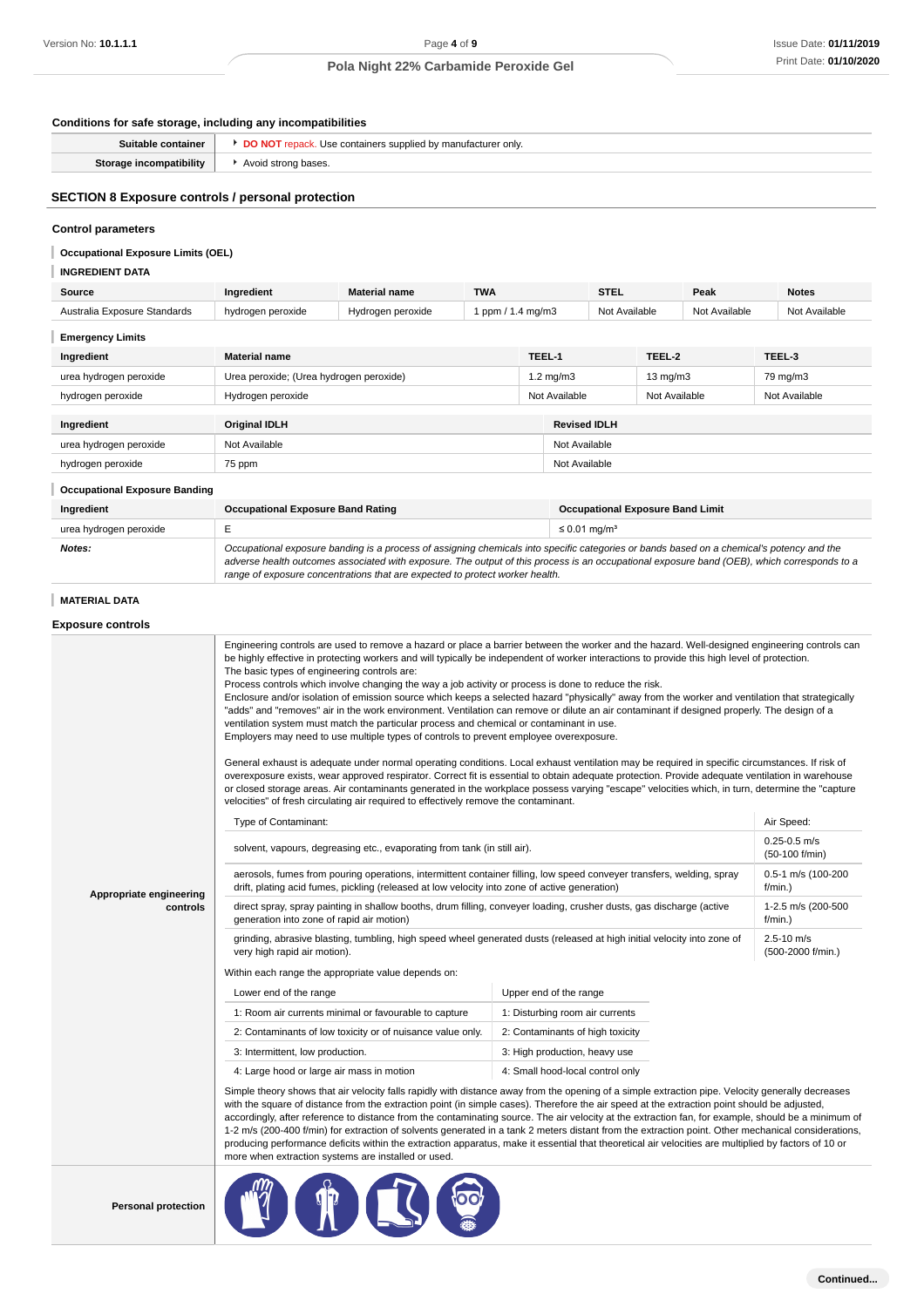#### **Conditions for safe storage, including any incompatibilities**

| Suitable container      | Use containers supplied by manufacturer only. |
|-------------------------|-----------------------------------------------|
| Storage incompatibility | Avoid strong bases.                           |

# **SECTION 8 Exposure controls / personal protection**

#### **Control parameters**

**Occupational Exposure Limits (OEL)**

# **INGREDIENT DATA**

| Source                               | Ingredient                                                                                                                                | <b>Material name</b> | <b>TWA</b>                    |                                | <b>STEL</b>                             |        | Peak          |               | <b>Notes</b>  |
|--------------------------------------|-------------------------------------------------------------------------------------------------------------------------------------------|----------------------|-------------------------------|--------------------------------|-----------------------------------------|--------|---------------|---------------|---------------|
| Australia Exposure Standards         | hydrogen peroxide                                                                                                                         | Hydrogen peroxide    | 1 ppm / 1.4 mg/m3             |                                | Not Available                           |        | Not Available |               | Not Available |
| <b>Emergency Limits</b>              |                                                                                                                                           |                      |                               |                                |                                         |        |               |               |               |
| Ingredient                           | <b>Material name</b>                                                                                                                      |                      |                               | TEEL-1                         |                                         | TEEL-2 |               |               | TEEL-3        |
| urea hydrogen peroxide               | Urea peroxide; (Urea hydrogen peroxide)                                                                                                   |                      | $1.2 \text{ mg/m}$ 3          | $13 \text{ mg/m}$              |                                         |        |               | 79 mg/m3      |               |
| hydrogen peroxide                    | Hydrogen peroxide                                                                                                                         |                      |                               | Not Available<br>Not Available |                                         |        |               | Not Available |               |
|                                      |                                                                                                                                           |                      |                               |                                |                                         |        |               |               |               |
| Ingredient                           | <b>Original IDLH</b>                                                                                                                      |                      |                               |                                | <b>Revised IDLH</b>                     |        |               |               |               |
| urea hydrogen peroxide               | Not Available                                                                                                                             |                      |                               |                                | Not Available                           |        |               |               |               |
| hydrogen peroxide                    | 75 ppm                                                                                                                                    |                      |                               | Not Available                  |                                         |        |               |               |               |
| <b>Occupational Exposure Banding</b> |                                                                                                                                           |                      |                               |                                |                                         |        |               |               |               |
| Ingredient                           | <b>Occupational Exposure Band Rating</b>                                                                                                  |                      |                               |                                | <b>Occupational Exposure Band Limit</b> |        |               |               |               |
| urea hydrogen peroxide               | E                                                                                                                                         |                      | $\leq$ 0.01 mg/m <sup>3</sup> |                                |                                         |        |               |               |               |
| Notes:                               | Occupational exposure banding is a process of assigning chemicals into specific categories or bands based on a chemical's potency and the |                      |                               |                                |                                         |        |               |               |               |

range of exposure concentrations that are expected to protect worker health.

adverse health outcomes associated with exposure. The output of this process is an occupational exposure band (OEB), which corresponds to a

**MATERIAL DATA**

# **Exposure controls Appropriate engineering controls** Engineering controls are used to remove a hazard or place a barrier between the worker and the hazard. Well-designed engineering controls can be highly effective in protecting workers and will typically be independent of worker interactions to provide this high level of protection. The basic types of engineering controls are: Process controls which involve changing the way a job activity or process is done to reduce the risk. Enclosure and/or isolation of emission source which keeps a selected hazard "physically" away from the worker and ventilation that strategically "adds" and "removes" air in the work environment. Ventilation can remove or dilute an air contaminant if designed properly. The design of a ventilation system must match the particular process and chemical or contaminant in use. Employers may need to use multiple types of controls to prevent employee overexposure. General exhaust is adequate under normal operating conditions. Local exhaust ventilation may be required in specific circumstances. If risk of overexposure exists, wear approved respirator. Correct fit is essential to obtain adequate protection. Provide adequate ventilation in warehouse or closed storage areas. Air contaminants generated in the workplace possess varying "escape" velocities which, in turn, determine the "capture velocities" of fresh circulating air required to effectively remove the contaminant. Type of Contaminant: Air Speed: Air Speed: Air Speed: Air Speed: Air Speed: Air Speed: Air Speed: Air Speed: Air Speed: Air Speed: Air Speed: Air Speed: Air Speed: Air Speed: Air Speed: Air Speed: Air Speed: Air Speed: Air solvent, vapours, degreasing etc., evaporating from tank (in still air). 0.25-0.5 m/s (50-100 f/min) aerosols, fumes from pouring operations, intermittent container filling, low speed conveyer transfers, welding, spray drift, plating acid fumes, pickling (released at low velocity into zone of active generation) 0.5-1 m/s (100-200 f/min.) direct spray, spray painting in shallow booths, drum filling, conveyer loading, crusher dusts, gas discharge (active generation into zone of rapid air motion) 1-2.5 m/s (200-500 f/min.) grinding, abrasive blasting, tumbling, high speed wheel generated dusts (released at high initial velocity into zone of very high rapid air motion). 2.5-10 m/s (500-2000 f/min.) Within each range the appropriate value depends on: Lower end of the range Upper end of the range 1: Room air currents minimal or favourable to capture 1: Disturbing room air currents 2: Contaminants of low toxicity or of nuisance value only. 2: Contaminants of high toxicity 3: Intermittent, low production.  $\begin{array}{c|c} \text{3: High production, heavy use} \end{array}$ 4: Large hood or large air mass in motion 4: Small hood-local control only Simple theory shows that air velocity falls rapidly with distance away from the opening of a simple extraction pipe. Velocity generally decreases with the square of distance from the extraction point (in simple cases). Therefore the air speed at the extraction point should be adjusted, accordingly, after reference to distance from the contaminating source. The air velocity at the extraction fan, for example, should be a minimum of 1-2 m/s (200-400 f/min) for extraction of solvents generated in a tank 2 meters distant from the extraction point. Other mechanical considerations, producing performance deficits within the extraction apparatus, make it essential that theoretical air velocities are multiplied by factors of 10 or more when extraction systems are installed or used. Person to: 10.1.1.1<br>
Conditions for said storage, including any incompatibilities<br>
Sundse consinues (a) Po Nort repeats (a) Royal Protection No: **10.1.1.1**<br>
Sundse consinues (a) Po Nort repeats (a) Royal Protection No: **20**

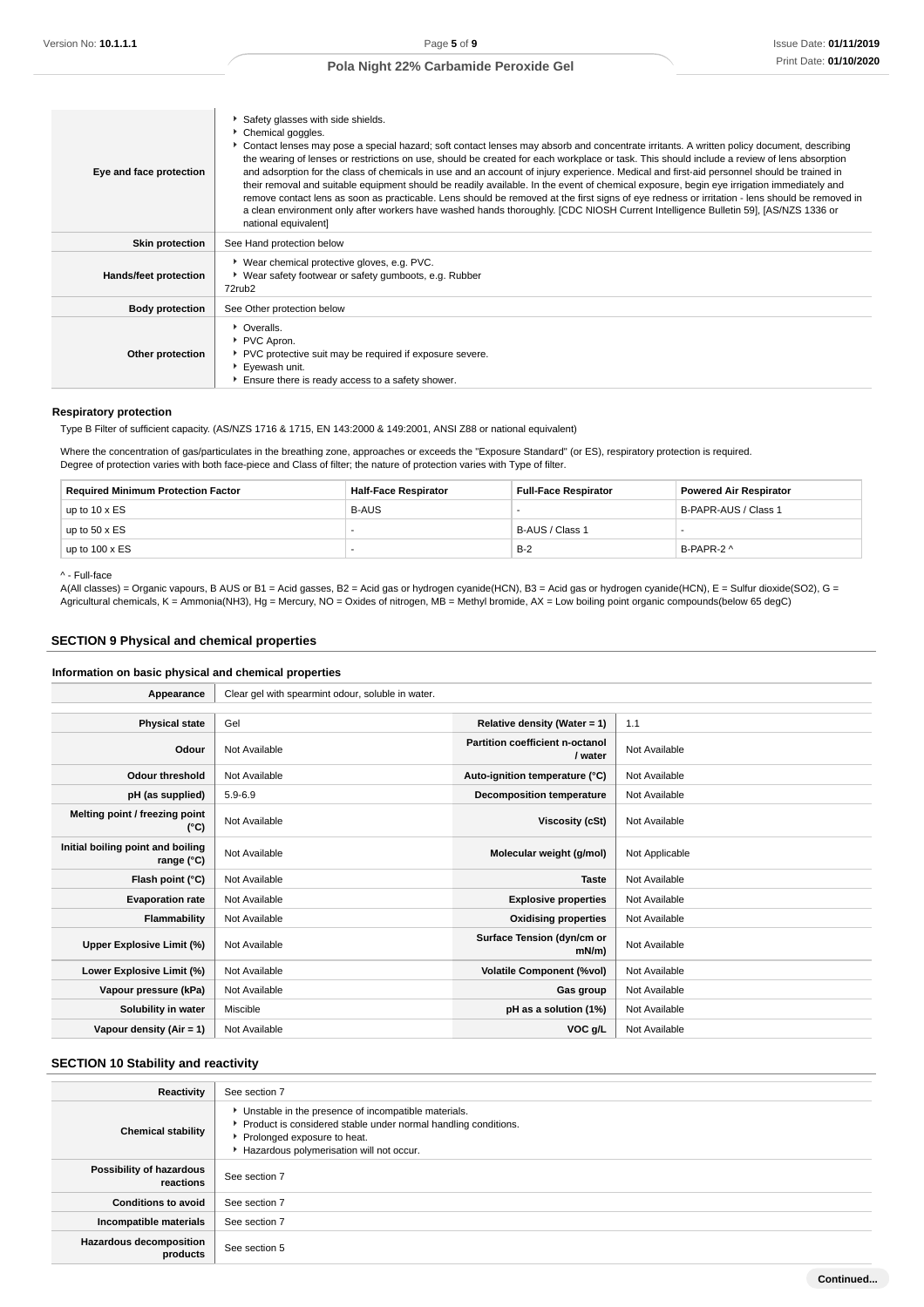| Eye and face protection      | Safety glasses with side shields.<br>Chemical goggles.<br>Contact lenses may pose a special hazard; soft contact lenses may absorb and concentrate irritants. A written policy document, describing<br>the wearing of lenses or restrictions on use, should be created for each workplace or task. This should include a review of lens absorption<br>and adsorption for the class of chemicals in use and an account of injury experience. Medical and first-aid personnel should be trained in<br>their removal and suitable equipment should be readily available. In the event of chemical exposure, begin eye irrigation immediately and<br>remove contact lens as soon as practicable. Lens should be removed at the first signs of eye redness or irritation - lens should be removed in<br>a clean environment only after workers have washed hands thoroughly. [CDC NIOSH Current Intelligence Bulletin 59], [AS/NZS 1336 or<br>national equivalent] |
|------------------------------|---------------------------------------------------------------------------------------------------------------------------------------------------------------------------------------------------------------------------------------------------------------------------------------------------------------------------------------------------------------------------------------------------------------------------------------------------------------------------------------------------------------------------------------------------------------------------------------------------------------------------------------------------------------------------------------------------------------------------------------------------------------------------------------------------------------------------------------------------------------------------------------------------------------------------------------------------------------|
| <b>Skin protection</b>       | See Hand protection below                                                                                                                                                                                                                                                                                                                                                                                                                                                                                                                                                                                                                                                                                                                                                                                                                                                                                                                                     |
| <b>Hands/feet protection</b> | * Wear chemical protective gloves, e.g. PVC.<br>• Wear safety footwear or safety gumboots, e.g. Rubber<br>72rub <sub>2</sub>                                                                                                                                                                                                                                                                                                                                                                                                                                                                                                                                                                                                                                                                                                                                                                                                                                  |
| <b>Body protection</b>       | See Other protection below                                                                                                                                                                                                                                                                                                                                                                                                                                                                                                                                                                                                                                                                                                                                                                                                                                                                                                                                    |
| Other protection             | • Overalls.<br>▶ PVC Apron.<br>PVC protective suit may be required if exposure severe.<br>Eyewash unit.<br>Ensure there is ready access to a safety shower.                                                                                                                                                                                                                                                                                                                                                                                                                                                                                                                                                                                                                                                                                                                                                                                                   |

#### **Respiratory protection**

Type B Filter of sufficient capacity. (AS/NZS 1716 & 1715, EN 143:2000 & 149:2001, ANSI Z88 or national equivalent)

Where the concentration of gas/particulates in the breathing zone, approaches or exceeds the "Exposure Standard" (or ES), respiratory protection is required. Degree of protection varies with both face-piece and Class of filter; the nature of protection varies with Type of filter.

| <b>Required Minimum Protection Factor</b> | <b>Half-Face Respirator</b> | <b>Full-Face Respirator</b> | <b>Powered Air Respirator</b> |
|-------------------------------------------|-----------------------------|-----------------------------|-------------------------------|
| up to $10 \times ES$                      | <b>B-AUS</b>                |                             | B-PAPR-AUS / Class 1          |
| up to $50 \times ES$                      |                             | B-AUS / Class 1             |                               |
| up to $100 \times ES$                     |                             | $B-2$                       | B-PAPR-2 ^                    |

^ - Full-face

A(All classes) = Organic vapours, B AUS or B1 = Acid gasses, B2 = Acid gas or hydrogen cyanide(HCN), B3 = Acid gas or hydrogen cyanide(HCN), E = Sulfur dioxide(SO2), G = Agricultural chemicals, K = Ammonia(NH3), Hg = Mercury, NO = Oxides of nitrogen, MB = Methyl bromide, AX = Low boiling point organic compounds(below 65 degC)

# **SECTION 9 Physical and chemical properties**

# **Information on basic physical and chemical properties**

| Appearance                                      | Clear gel with spearmint odour, soluble in water. |                                                   |                |
|-------------------------------------------------|---------------------------------------------------|---------------------------------------------------|----------------|
|                                                 |                                                   |                                                   |                |
| <b>Physical state</b>                           | Gel                                               | Relative density (Water = 1)                      | 1.1            |
| Odour                                           | Not Available                                     | <b>Partition coefficient n-octanol</b><br>/ water | Not Available  |
| <b>Odour threshold</b>                          | Not Available                                     | Auto-ignition temperature (°C)                    | Not Available  |
| pH (as supplied)                                | $5.9 - 6.9$                                       | <b>Decomposition temperature</b>                  | Not Available  |
| Melting point / freezing point<br>(°C)          | Not Available                                     | Viscosity (cSt)                                   | Not Available  |
| Initial boiling point and boiling<br>range (°C) | Not Available                                     | Molecular weight (g/mol)                          | Not Applicable |
| Flash point (°C)                                | Not Available                                     | <b>Taste</b>                                      | Not Available  |
| <b>Evaporation rate</b>                         | Not Available                                     | <b>Explosive properties</b>                       | Not Available  |
| Flammability                                    | Not Available                                     | <b>Oxidising properties</b>                       | Not Available  |
| Upper Explosive Limit (%)                       | Not Available                                     | Surface Tension (dyn/cm or<br>$mN/m$ )            | Not Available  |
| Lower Explosive Limit (%)                       | Not Available                                     | <b>Volatile Component (%vol)</b>                  | Not Available  |
| Vapour pressure (kPa)                           | Not Available                                     | Gas group                                         | Not Available  |
| Solubility in water                             | Miscible                                          | pH as a solution (1%)                             | Not Available  |
| Vapour density (Air = 1)                        | Not Available                                     | VOC g/L                                           | Not Available  |

# **SECTION 10 Stability and reactivity**

| Reactivity                            | See section 7                                                                                                                                                                                      |
|---------------------------------------|----------------------------------------------------------------------------------------------------------------------------------------------------------------------------------------------------|
| <b>Chemical stability</b>             | Unstable in the presence of incompatible materials.<br>Product is considered stable under normal handling conditions.<br>▶ Prolonged exposure to heat.<br>Hazardous polymerisation will not occur. |
| Possibility of hazardous<br>reactions | See section 7                                                                                                                                                                                      |
| <b>Conditions to avoid</b>            | See section 7                                                                                                                                                                                      |
| Incompatible materials                | See section 7                                                                                                                                                                                      |
| Hazardous decomposition<br>products   | See section 5                                                                                                                                                                                      |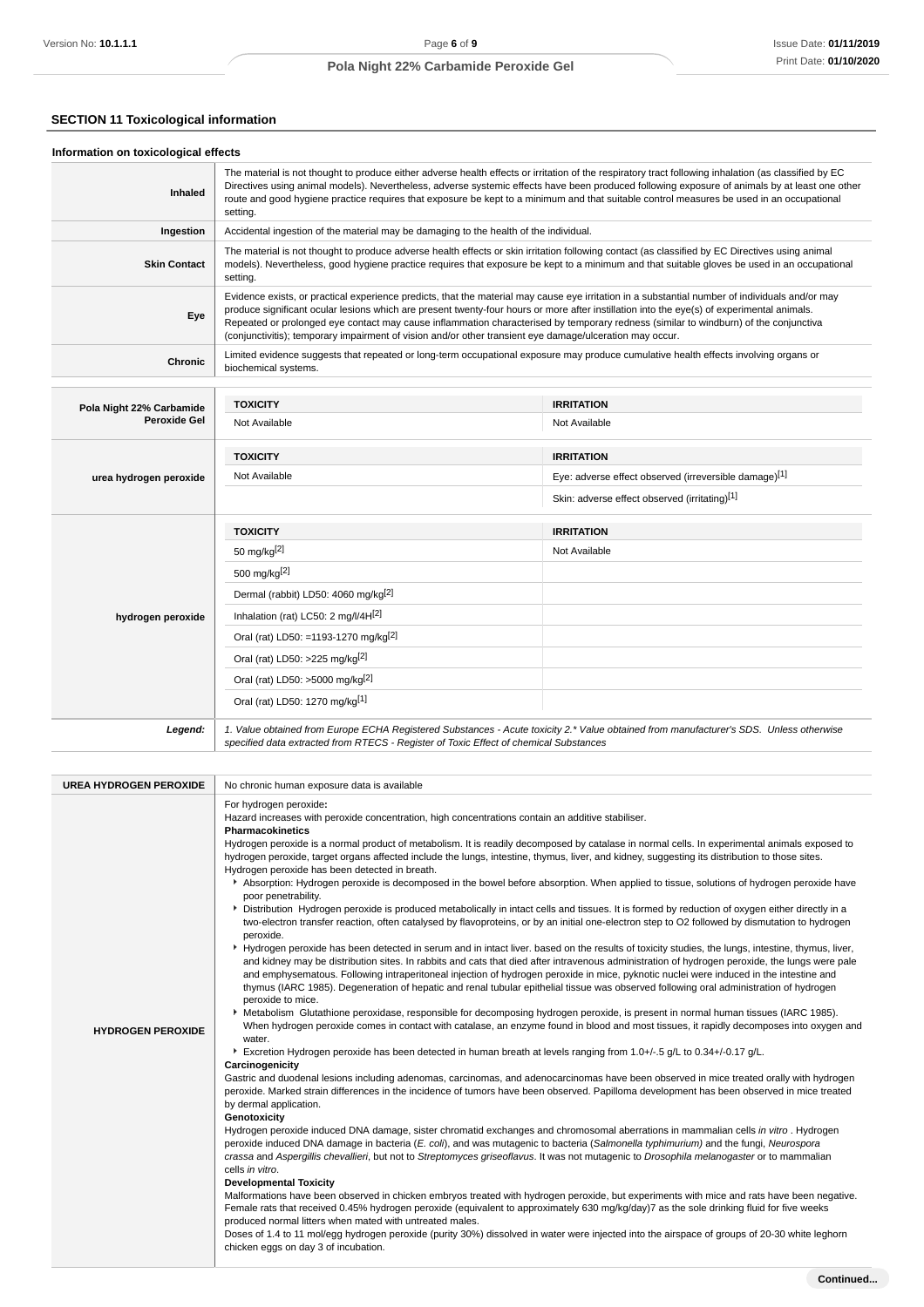# **SECTION 11 Toxicological information**

| Information on toxicological effects |                                                                                                                                                                                                                                                                                                             |                                                                                                                                                                                                                                                                                                                                                                                                                                                      |  |  |
|--------------------------------------|-------------------------------------------------------------------------------------------------------------------------------------------------------------------------------------------------------------------------------------------------------------------------------------------------------------|------------------------------------------------------------------------------------------------------------------------------------------------------------------------------------------------------------------------------------------------------------------------------------------------------------------------------------------------------------------------------------------------------------------------------------------------------|--|--|
| <b>Inhaled</b>                       | setting.                                                                                                                                                                                                                                                                                                    | The material is not thought to produce either adverse health effects or irritation of the respiratory tract following inhalation (as classified by EC<br>Directives using animal models). Nevertheless, adverse systemic effects have been produced following exposure of animals by at least one other<br>route and good hygiene practice requires that exposure be kept to a minimum and that suitable control measures be used in an occupational |  |  |
| Ingestion                            | Accidental ingestion of the material may be damaging to the health of the individual.                                                                                                                                                                                                                       |                                                                                                                                                                                                                                                                                                                                                                                                                                                      |  |  |
| <b>Skin Contact</b>                  | The material is not thought to produce adverse health effects or skin irritation following contact (as classified by EC Directives using animal<br>models). Nevertheless, good hygiene practice requires that exposure be kept to a minimum and that suitable gloves be used in an occupational<br>setting. |                                                                                                                                                                                                                                                                                                                                                                                                                                                      |  |  |
| Eye                                  | (conjunctivitis); temporary impairment of vision and/or other transient eye damage/ulceration may occur.                                                                                                                                                                                                    | Evidence exists, or practical experience predicts, that the material may cause eye irritation in a substantial number of individuals and/or may<br>produce significant ocular lesions which are present twenty-four hours or more after instillation into the eye(s) of experimental animals.<br>Repeated or prolonged eye contact may cause inflammation characterised by temporary redness (similar to windburn) of the conjunctiva                |  |  |
| <b>Chronic</b>                       | biochemical systems.                                                                                                                                                                                                                                                                                        | Limited evidence suggests that repeated or long-term occupational exposure may produce cumulative health effects involving organs or                                                                                                                                                                                                                                                                                                                 |  |  |
| Pola Night 22% Carbamide             | <b>TOXICITY</b>                                                                                                                                                                                                                                                                                             | <b>IRRITATION</b>                                                                                                                                                                                                                                                                                                                                                                                                                                    |  |  |
| <b>Peroxide Gel</b>                  | Not Available                                                                                                                                                                                                                                                                                               | Not Available                                                                                                                                                                                                                                                                                                                                                                                                                                        |  |  |
|                                      | <b>TOXICITY</b>                                                                                                                                                                                                                                                                                             | <b>IRRITATION</b>                                                                                                                                                                                                                                                                                                                                                                                                                                    |  |  |
| urea hydrogen peroxide               | Not Available                                                                                                                                                                                                                                                                                               | Eye: adverse effect observed (irreversible damage)[1]                                                                                                                                                                                                                                                                                                                                                                                                |  |  |
|                                      |                                                                                                                                                                                                                                                                                                             | Skin: adverse effect observed (irritating)[1]                                                                                                                                                                                                                                                                                                                                                                                                        |  |  |
|                                      | <b>TOXICITY</b>                                                                                                                                                                                                                                                                                             | <b>IRRITATION</b>                                                                                                                                                                                                                                                                                                                                                                                                                                    |  |  |
|                                      | 50 mg/kg[2]                                                                                                                                                                                                                                                                                                 | Not Available                                                                                                                                                                                                                                                                                                                                                                                                                                        |  |  |
|                                      | 500 mg/kg <sup>[2]</sup>                                                                                                                                                                                                                                                                                    |                                                                                                                                                                                                                                                                                                                                                                                                                                                      |  |  |
|                                      | Dermal (rabbit) LD50: 4060 mg/kg <sup>[2]</sup>                                                                                                                                                                                                                                                             |                                                                                                                                                                                                                                                                                                                                                                                                                                                      |  |  |
| hydrogen peroxide                    | Inhalation (rat) LC50: 2 mg/l/4H[2]                                                                                                                                                                                                                                                                         |                                                                                                                                                                                                                                                                                                                                                                                                                                                      |  |  |
|                                      | Oral (rat) LD50: =1193-1270 mg/kg <sup>[2]</sup>                                                                                                                                                                                                                                                            |                                                                                                                                                                                                                                                                                                                                                                                                                                                      |  |  |
|                                      | Oral (rat) LD50: >225 mg/kg <sup>[2]</sup>                                                                                                                                                                                                                                                                  |                                                                                                                                                                                                                                                                                                                                                                                                                                                      |  |  |
|                                      | Oral (rat) LD50: >5000 mg/kg <sup>[2]</sup>                                                                                                                                                                                                                                                                 |                                                                                                                                                                                                                                                                                                                                                                                                                                                      |  |  |
|                                      | Oral (rat) LD50: 1270 mg/kg[1]                                                                                                                                                                                                                                                                              |                                                                                                                                                                                                                                                                                                                                                                                                                                                      |  |  |
| Legend:                              | specified data extracted from RTECS - Register of Toxic Effect of chemical Substances                                                                                                                                                                                                                       | 1. Value obtained from Europe ECHA Registered Substances - Acute toxicity 2.* Value obtained from manufacturer's SDS. Unless otherwise                                                                                                                                                                                                                                                                                                               |  |  |

| <b>UREA HYDROGEN PEROXIDE</b><br><b>HYDROGEN PEROXIDE</b> | No chronic human exposure data is available<br>For hydrogen peroxide:<br>Hazard increases with peroxide concentration, high concentrations contain an additive stabiliser.<br><b>Pharmacokinetics</b><br>Hydrogen peroxide is a normal product of metabolism. It is readily decomposed by catalase in normal cells. In experimental animals exposed to<br>hydrogen peroxide, target organs affected include the lungs, intestine, thymus, liver, and kidney, suggesting its distribution to those sites.<br>Hydrogen peroxide has been detected in breath.<br>Absorption: Hydrogen peroxide is decomposed in the bowel before absorption. When applied to tissue, solutions of hydrogen peroxide have<br>poor penetrability.<br>> Distribution Hydrogen peroxide is produced metabolically in intact cells and tissues. It is formed by reduction of oxygen either directly in a<br>two-electron transfer reaction, often catalysed by flavoproteins, or by an initial one-electron step to O2 followed by dismutation to hydrogen<br>peroxide.<br>▶ Hydrogen peroxide has been detected in serum and in intact liver. based on the results of toxicity studies, the lungs, intestine, thymus, liver,<br>and kidney may be distribution sites. In rabbits and cats that died after intravenous administration of hydrogen peroxide, the lungs were pale<br>and emphysematous. Following intraperitoneal injection of hydrogen peroxide in mice, pyknotic nuclei were induced in the intestine and<br>thymus (IARC 1985). Degeneration of hepatic and renal tubular epithelial tissue was observed following oral administration of hydrogen<br>peroxide to mice.<br>Metabolism Glutathione peroxidase, responsible for decomposing hydrogen peroxide, is present in normal human tissues (IARC 1985).<br>When hydrogen peroxide comes in contact with catalase, an enzyme found in blood and most tissues, it rapidly decomposes into oxygen and<br>water.<br>Excretion Hydrogen peroxide has been detected in human breath at levels ranging from 1.0+/-.5 g/L to 0.34+/-0.17 g/L.<br>Carcinogenicity<br>Gastric and duodenal lesions including adenomas, carcinomas, and adenocarcinomas have been observed in mice treated orally with hydrogen<br>peroxide. Marked strain differences in the incidence of tumors have been observed. Papilloma development has been observed in mice treated<br>by dermal application.<br>Genotoxicity<br>Hydrogen peroxide induced DNA damage, sister chromatid exchanges and chromosomal aberrations in mammalian cells in vitro. Hydrogen<br>peroxide induced DNA damage in bacteria (E. coli), and was mutagenic to bacteria (Salmonella typhimurium) and the fungi, Neurospora<br>crassa and Aspergillis chevallieri, but not to Streptomyces griseoflavus. It was not mutagenic to Drosophila melanogaster or to mammalian |
|-----------------------------------------------------------|----------------------------------------------------------------------------------------------------------------------------------------------------------------------------------------------------------------------------------------------------------------------------------------------------------------------------------------------------------------------------------------------------------------------------------------------------------------------------------------------------------------------------------------------------------------------------------------------------------------------------------------------------------------------------------------------------------------------------------------------------------------------------------------------------------------------------------------------------------------------------------------------------------------------------------------------------------------------------------------------------------------------------------------------------------------------------------------------------------------------------------------------------------------------------------------------------------------------------------------------------------------------------------------------------------------------------------------------------------------------------------------------------------------------------------------------------------------------------------------------------------------------------------------------------------------------------------------------------------------------------------------------------------------------------------------------------------------------------------------------------------------------------------------------------------------------------------------------------------------------------------------------------------------------------------------------------------------------------------------------------------------------------------------------------------------------------------------------------------------------------------------------------------------------------------------------------------------------------------------------------------------------------------------------------------------------------------------------------------------------------------------------------------------------------------------------------------------------------------------------------------------------------------------------------------------------------------------------------------------------------------------------------------------------------------------------------------------------------------------------------------------------------------------------------------------------------------------------------------------------|
|                                                           | cells in vitro.                                                                                                                                                                                                                                                                                                                                                                                                                                                                                                                                                                                                                                                                                                                                                                                                                                                                                                                                                                                                                                                                                                                                                                                                                                                                                                                                                                                                                                                                                                                                                                                                                                                                                                                                                                                                                                                                                                                                                                                                                                                                                                                                                                                                                                                                                                                                                                                                                                                                                                                                                                                                                                                                                                                                                                                                                                                      |
|                                                           | <b>Developmental Toxicity</b><br>Malformations have been observed in chicken embryos treated with hydrogen peroxide, but experiments with mice and rats have been negative.<br>Female rats that received 0.45% hydrogen peroxide (equivalent to approximately 630 mg/kg/day)7 as the sole drinking fluid for five weeks<br>produced normal litters when mated with untreated males.<br>Doses of 1.4 to 11 mol/egg hydrogen peroxide (purity 30%) dissolved in water were injected into the airspace of groups of 20-30 white leghorn<br>chicken eggs on day 3 of incubation.                                                                                                                                                                                                                                                                                                                                                                                                                                                                                                                                                                                                                                                                                                                                                                                                                                                                                                                                                                                                                                                                                                                                                                                                                                                                                                                                                                                                                                                                                                                                                                                                                                                                                                                                                                                                                                                                                                                                                                                                                                                                                                                                                                                                                                                                                         |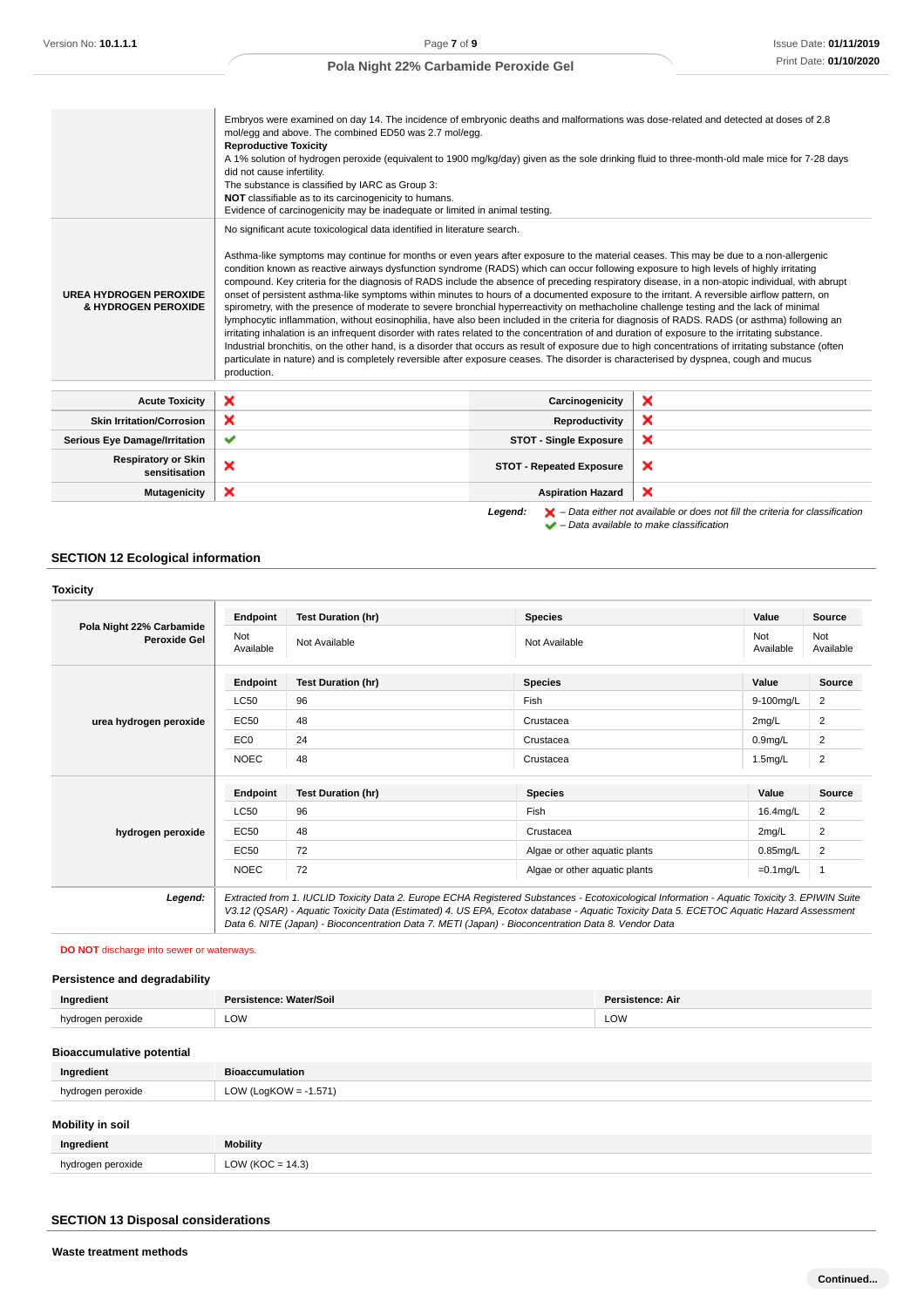|                                                      | Embryos were examined on day 14. The incidence of embryonic deaths and malformations was dose-related and detected at doses of 2.8<br>mol/egg and above. The combined ED50 was 2.7 mol/egg.<br><b>Reproductive Toxicity</b><br>A 1% solution of hydrogen peroxide (equivalent to 1900 mg/kg/day) given as the sole drinking fluid to three-month-old male mice for 7-28 days<br>did not cause infertility.<br>The substance is classified by IARC as Group 3:<br>NOT classifiable as to its carcinogenicity to humans.<br>Evidence of carcinogenicity may be inadequate or limited in animal testing.                                                                                                                                                                                                                                                                                                                                                                                                                                                                                                                                                                                                                                                                                                                                                                                                                     |                                 |                                                                                                    |  |
|------------------------------------------------------|---------------------------------------------------------------------------------------------------------------------------------------------------------------------------------------------------------------------------------------------------------------------------------------------------------------------------------------------------------------------------------------------------------------------------------------------------------------------------------------------------------------------------------------------------------------------------------------------------------------------------------------------------------------------------------------------------------------------------------------------------------------------------------------------------------------------------------------------------------------------------------------------------------------------------------------------------------------------------------------------------------------------------------------------------------------------------------------------------------------------------------------------------------------------------------------------------------------------------------------------------------------------------------------------------------------------------------------------------------------------------------------------------------------------------|---------------------------------|----------------------------------------------------------------------------------------------------|--|
| <b>UREA HYDROGEN PEROXIDE</b><br>& HYDROGEN PEROXIDE | No significant acute toxicological data identified in literature search.<br>Asthma-like symptoms may continue for months or even years after exposure to the material ceases. This may be due to a non-allergenic<br>condition known as reactive airways dysfunction syndrome (RADS) which can occur following exposure to high levels of highly irritating<br>compound. Key criteria for the diagnosis of RADS include the absence of preceding respiratory disease, in a non-atopic individual, with abrupt<br>onset of persistent asthma-like symptoms within minutes to hours of a documented exposure to the irritant. A reversible airflow pattern, on<br>spirometry, with the presence of moderate to severe bronchial hyperreactivity on methacholine challenge testing and the lack of minimal<br>lymphocytic inflammation, without eosinophilia, have also been included in the criteria for diagnosis of RADS. RADS (or asthma) following an<br>irritating inhalation is an infrequent disorder with rates related to the concentration of and duration of exposure to the irritating substance.<br>Industrial bronchitis, on the other hand, is a disorder that occurs as result of exposure due to high concentrations of irritating substance (often<br>particulate in nature) and is completely reversible after exposure ceases. The disorder is characterised by dyspnea, cough and mucus<br>production. |                                 |                                                                                                    |  |
| <b>Acute Toxicity</b>                                | ×                                                                                                                                                                                                                                                                                                                                                                                                                                                                                                                                                                                                                                                                                                                                                                                                                                                                                                                                                                                                                                                                                                                                                                                                                                                                                                                                                                                                                         | Carcinogenicity                 | ×                                                                                                  |  |
| <b>Skin Irritation/Corrosion</b>                     | ×                                                                                                                                                                                                                                                                                                                                                                                                                                                                                                                                                                                                                                                                                                                                                                                                                                                                                                                                                                                                                                                                                                                                                                                                                                                                                                                                                                                                                         | Reproductivity                  | ×                                                                                                  |  |
| <b>Serious Eye Damage/Irritation</b>                 | ✔                                                                                                                                                                                                                                                                                                                                                                                                                                                                                                                                                                                                                                                                                                                                                                                                                                                                                                                                                                                                                                                                                                                                                                                                                                                                                                                                                                                                                         | <b>STOT - Single Exposure</b>   | ×                                                                                                  |  |
| <b>Respiratory or Skin</b><br>sensitisation          | ×                                                                                                                                                                                                                                                                                                                                                                                                                                                                                                                                                                                                                                                                                                                                                                                                                                                                                                                                                                                                                                                                                                                                                                                                                                                                                                                                                                                                                         | <b>STOT - Repeated Exposure</b> | ×                                                                                                  |  |
| <b>Mutagenicity</b>                                  | ×                                                                                                                                                                                                                                                                                                                                                                                                                                                                                                                                                                                                                                                                                                                                                                                                                                                                                                                                                                                                                                                                                                                                                                                                                                                                                                                                                                                                                         | <b>Aspiration Hazard</b>        | ×                                                                                                  |  |
|                                                      |                                                                                                                                                                                                                                                                                                                                                                                                                                                                                                                                                                                                                                                                                                                                                                                                                                                                                                                                                                                                                                                                                                                                                                                                                                                                                                                                                                                                                           | Legend:                         | $\blacktriangleright$ – Data either not available or does not fill the criteria for classification |  |

– Data available to make classification

```
SECTION 12 Ecological information
```

| <b>Toxicity</b>                                 |                  |                           |                                                                                                                                                                                                                                                                                          |                  |                  |
|-------------------------------------------------|------------------|---------------------------|------------------------------------------------------------------------------------------------------------------------------------------------------------------------------------------------------------------------------------------------------------------------------------------|------------------|------------------|
|                                                 | Endpoint         | <b>Test Duration (hr)</b> | <b>Species</b>                                                                                                                                                                                                                                                                           | Value            | Source           |
| Pola Night 22% Carbamide<br><b>Peroxide Gel</b> | Not<br>Available | Not Available             | Not Available                                                                                                                                                                                                                                                                            | Not<br>Available | Not<br>Available |
|                                                 | Endpoint         | <b>Test Duration (hr)</b> | <b>Species</b>                                                                                                                                                                                                                                                                           | Value            | Source           |
|                                                 | <b>LC50</b>      | 96                        | Fish                                                                                                                                                                                                                                                                                     | 9-100mg/L        | $\overline{2}$   |
| urea hydrogen peroxide                          | EC50             | 48                        | Crustacea                                                                                                                                                                                                                                                                                | 2mg/L            | $\overline{2}$   |
|                                                 | EC <sub>0</sub>  | 24                        | Crustacea                                                                                                                                                                                                                                                                                | $0.9$ mg/L       | 2                |
|                                                 | <b>NOEC</b>      | 48                        | Crustacea                                                                                                                                                                                                                                                                                | 1.5mg/L          | $\overline{2}$   |
|                                                 | Endpoint         | <b>Test Duration (hr)</b> | <b>Species</b>                                                                                                                                                                                                                                                                           | Value            | Source           |
|                                                 | <b>LC50</b>      | 96                        | Fish                                                                                                                                                                                                                                                                                     | 16.4mg/L         | $\overline{2}$   |
| hydrogen peroxide                               | <b>EC50</b>      | 48                        | Crustacea                                                                                                                                                                                                                                                                                | 2mq/L            | 2                |
|                                                 | <b>EC50</b>      | 72                        | Algae or other aquatic plants                                                                                                                                                                                                                                                            | $0.85$ mg/L      | 2                |
|                                                 | <b>NOEC</b>      | 72                        | Algae or other aquatic plants                                                                                                                                                                                                                                                            | $=0.1$ mg/L      | $\mathbf{1}$     |
| Legend:                                         |                  |                           | Extracted from 1. IUCLID Toxicity Data 2. Europe ECHA Registered Substances - Ecotoxicological Information - Aquatic Toxicity 3. EPIWIN Suite<br>V3.12 (QSAR) - Aquatic Toxicity Data (Estimated) 4. US EPA, Ecotox database - Aquatic Toxicity Data 5. ECETOC Aquatic Hazard Assessment |                  |                  |

**DO NOT** discharge into sewer or waterways.

# **Persistence and degradability**

| Ingredient                       | Persistence: Water/Soil  | <b>Persistence: Air</b> |
|----------------------------------|--------------------------|-------------------------|
| hydrogen peroxide                | LOW                      | LOW                     |
| <b>Bioaccumulative potential</b> |                          |                         |
| Ingredient                       | <b>Bioaccumulation</b>   |                         |
| hydrogen peroxide                | LOW (LogKOW = $-1.571$ ) |                         |

Data 6. NITE (Japan) - Bioconcentration Data 7. METI (Japan) - Bioconcentration Data 8. Vendor Data

# **Mobility in soil**

| Ingredient             | <b>Mobility</b>                                             |
|------------------------|-------------------------------------------------------------|
| hvdrogen peroxide<br>. | 14.3)<br>$\bigcap_{\alpha}$<br>' (KOC = ∘<br>∟∪v·<br>$\sim$ |

# **SECTION 13 Disposal considerations**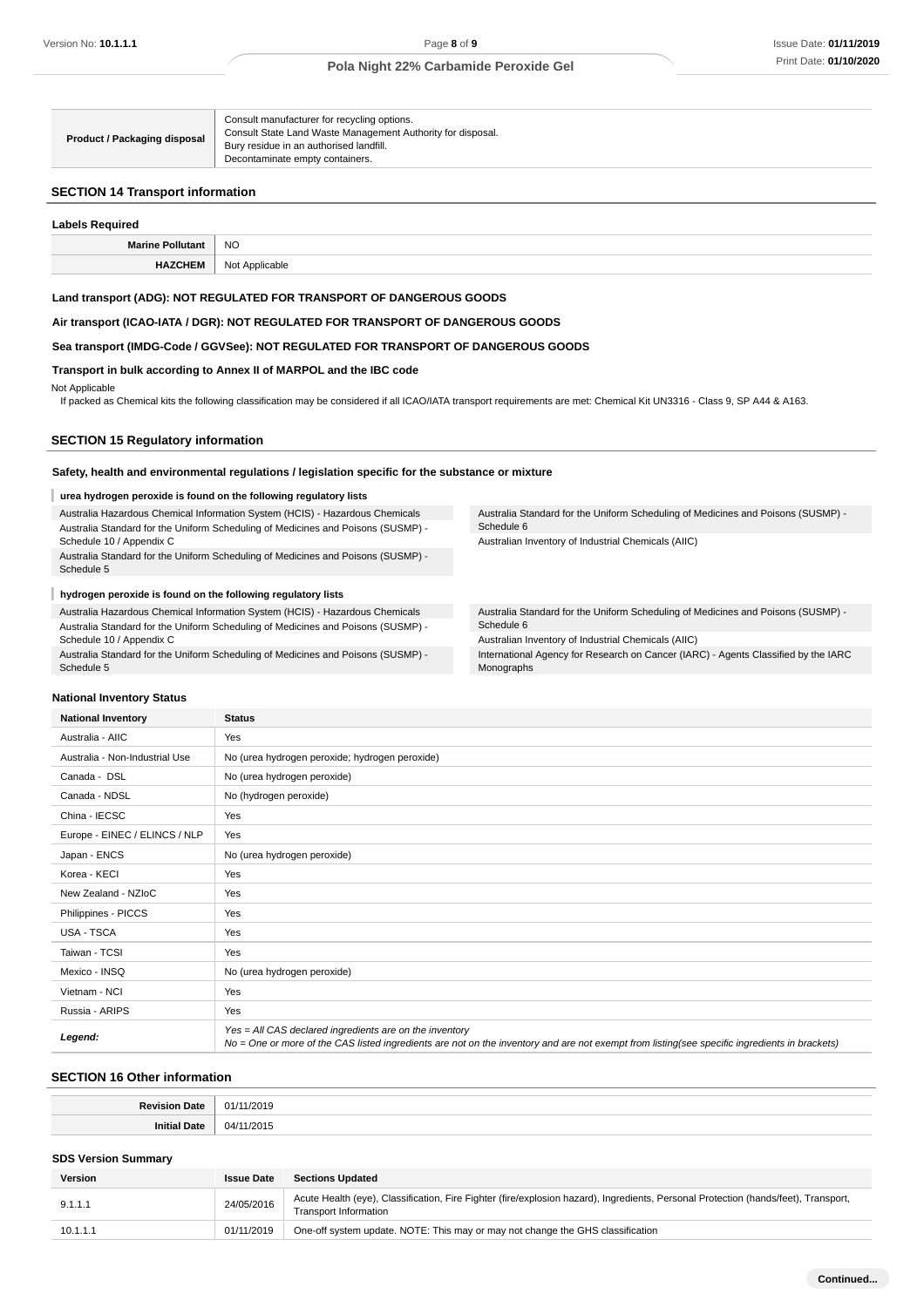| <b>Product / Packaging disposal</b> | Consult manufacturer for recycling options.<br>Consult State Land Waste Management Authority for disposal.<br>Bury residue in an authorised landfill.<br>Decontaminate empty containers. |
|-------------------------------------|------------------------------------------------------------------------------------------------------------------------------------------------------------------------------------------|
|-------------------------------------|------------------------------------------------------------------------------------------------------------------------------------------------------------------------------------------|

#### **SECTION 14 Transport information**

| <b>Labels Required</b>  |                |  |  |  |
|-------------------------|----------------|--|--|--|
| <b>Marine Pollutant</b> | <b>NO</b>      |  |  |  |
| <b>HAZCHEM</b>          | Not Applicable |  |  |  |

#### **Land transport (ADG): NOT REGULATED FOR TRANSPORT OF DANGEROUS GOODS**

**Air transport (ICAO-IATA / DGR): NOT REGULATED FOR TRANSPORT OF DANGEROUS GOODS**

# **Sea transport (IMDG-Code / GGVSee): NOT REGULATED FOR TRANSPORT OF DANGEROUS GOODS**

#### **Transport in bulk according to Annex II of MARPOL and the IBC code**

#### Not Applicable

If packed as Chemical kits the following classification may be considered if all ICAO/IATA transport requirements are met: Chemical Kit UN3316 - Class 9, SP A44 & A163.

#### **SECTION 15 Regulatory information**

#### **Safety, health and environmental regulations / legislation specific for the substance or mixture**

#### I **urea hydrogen peroxide is found on the following regulatory lists**

Australia Hazardous Chemical Information System (HCIS) - Hazardous Chemicals Australia Standard for the Uniform Scheduling of Medicines and Poisons (SUSMP) - Schedule 10 / Appendix C

Australia Standard for the Uniform Scheduling of Medicines and Poisons (SUSMP) - Schedule 5

#### I **hydrogen peroxide is found on the following regulatory lists**

Australia Hazardous Chemical Information System (HCIS) - Hazardous Chemicals Australia Standard for the Uniform Scheduling of Medicines and Poisons (SUSMP) - Schedule 10 / Appendix C

Australia Standard for the Uniform Scheduling of Medicines and Poisons (SUSMP) - Schedule 5

Australia Standard for the Uniform Scheduling of Medicines and Poisons (SUSMP) - Schedule 6 Australian Inventory of Industrial Chemicals (AIIC)

Australia Standard for the Uniform Scheduling of Medicines and Poisons (SUSMP) - Schedule 6

Australian Inventory of Industrial Chemicals (AIIC)

International Agency for Research on Cancer (IARC) - Agents Classified by the IARC Monographs

#### **National Inventory Status**

| <b>National Inventory</b>      | <b>Status</b>                                                                                                                                                                                            |  |
|--------------------------------|----------------------------------------------------------------------------------------------------------------------------------------------------------------------------------------------------------|--|
| Australia - AIIC               | Yes                                                                                                                                                                                                      |  |
| Australia - Non-Industrial Use | No (urea hydrogen peroxide; hydrogen peroxide)                                                                                                                                                           |  |
| Canada - DSL                   | No (urea hydrogen peroxide)                                                                                                                                                                              |  |
| Canada - NDSL                  | No (hydrogen peroxide)                                                                                                                                                                                   |  |
| China - IECSC                  | Yes                                                                                                                                                                                                      |  |
| Europe - EINEC / ELINCS / NLP  | Yes                                                                                                                                                                                                      |  |
| Japan - ENCS                   | No (urea hydrogen peroxide)                                                                                                                                                                              |  |
| Korea - KECI                   | Yes                                                                                                                                                                                                      |  |
| New Zealand - NZIoC            | Yes                                                                                                                                                                                                      |  |
| Philippines - PICCS            | Yes                                                                                                                                                                                                      |  |
| USA - TSCA                     | Yes                                                                                                                                                                                                      |  |
| Taiwan - TCSI                  | Yes                                                                                                                                                                                                      |  |
| Mexico - INSQ                  | No (urea hydrogen peroxide)                                                                                                                                                                              |  |
| Vietnam - NCI                  | Yes                                                                                                                                                                                                      |  |
| Russia - ARIPS                 | Yes                                                                                                                                                                                                      |  |
| Legend:                        | Yes = All CAS declared ingredients are on the inventory<br>No = One or more of the CAS listed ingredients are not on the inventory and are not exempt from listing(see specific ingredients in brackets) |  |

#### **SECTION 16 Other information**

| 2019         |
|--------------|
| '2015<br>O4. |
|              |

#### **SDS Version Summary**

| <b>Version</b> | <b>Issue Date</b> | <b>Sections Updated</b>                                                                                                                                      |
|----------------|-------------------|--------------------------------------------------------------------------------------------------------------------------------------------------------------|
| 9.1.1.1        | 24/05/2016        | Acute Health (eye), Classification, Fire Fighter (fire/explosion hazard), Ingredients, Personal Protection (hands/feet), Transport,<br>Transport Information |
| 10.1.1.1       | 01/11/2019        | One-off system update. NOTE: This may or may not change the GHS classification                                                                               |